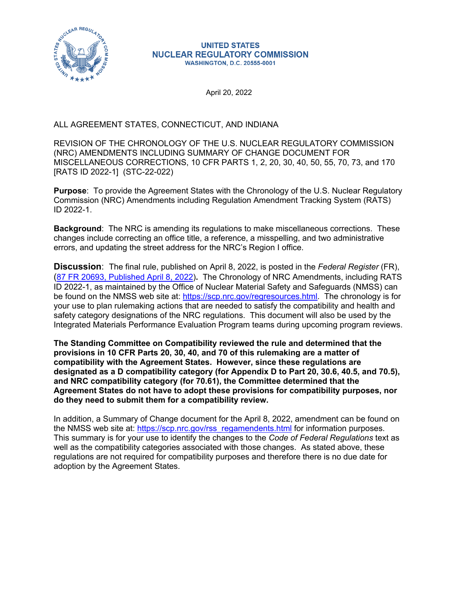

## **UNITED STATES NUCLEAR REGULATORY COMMISSION WASHINGTON, D.C. 20555-0001**

April 20, 2022

## ALL AGREEMENT STATES, CONNECTICUT, AND INDIANA

REVISION OF THE CHRONOLOGY OF THE U.S. NUCLEAR REGULATORY COMMISSION (NRC) AMENDMENTS INCLUDING SUMMARY OF CHANGE DOCUMENT FOR MISCELLANEOUS CORRECTIONS, 10 CFR PARTS 1, 2, 20, 30, 40, 50, 55, 70, 73, and 170 [RATS ID 2022-1] (STC-22-022)

**Purpose**: To provide the Agreement States with the Chronology of the U.S. Nuclear Regulatory Commission (NRC) Amendments including Regulation Amendment Tracking System (RATS) ID 2022-1.

**Background**: The NRC is amending its regulations to make miscellaneous corrections. These changes include correcting an office title, a reference, a misspelling, and two administrative errors, and updating the street address for the NRC's Region I office.

**Discussion**: The final rule, published on April 8, 2022, is posted in the *Federal Register* (FR), ([87 FR 20693, Published April 8, 2022\)](https://www.federalregister.gov/documents/2022/04/08/2022-07610/miscellaneous-corrections?utm_source=federalregister.gov&utm_medium=email&utm_campaign=subscription+mailing+list)**.** The Chronology of NRC Amendments, including RATS ID 2022-1, as maintained by the Office of Nuclear Material Safety and Safeguards (NMSS) can be found on the NMSS web site at:<https://scp.nrc.gov/regresources.html>. The chronology is for your use to plan rulemaking actions that are needed to satisfy the compatibility and health and safety category designations of the NRC regulations. This document will also be used by the Integrated Materials Performance Evaluation Program teams during upcoming program reviews.

**The Standing Committee on Compatibility reviewed the rule and determined that the provisions in 10 CFR Parts 20, 30, 40, and 70 of this rulemaking are a matter of compatibility with the Agreement States. However, since these regulations are designated as a D compatibility category (for Appendix D to Part 20, 30.6, 40.5, and 70.5), and NRC compatibility category (for 70.61), the Committee determined that the Agreement States do not have to adopt these provisions for compatibility purposes, nor do they need to submit them for a compatibility review.**

In addition, a Summary of Change document for the April 8, 2022, amendment can be found on the NMSS web site at: [https://scp.nrc.gov/rss\\_regamendents.html](https://scp.nrc.gov/rss_regamendents.html) for information purposes. This summary is for your use to identify the changes to the *Code of Federal Regulations* text as well as the compatibility categories associated with those changes. As stated above, these regulations are not required for compatibility purposes and therefore there is no due date for adoption by the Agreement States.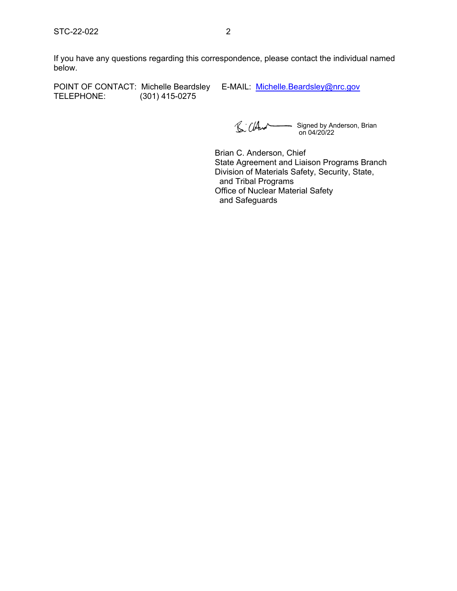If you have any questions regarding this correspondence, please contact the individual named below.

POINT OF CONTACT: Michelle Beardsley E-MAIL: [Michelle.Beardsley@nrc.gov](mailto:Michelle.Beardsley@nrc.gov)<br>TELEPHONE: (301) 415-0275 (301) 415-0275

BillAnd Signed by Anderson, Brian on 04/20/22

Brian C. Anderson, Chief State Agreement and Liaison Programs Branch Division of Materials Safety, Security, State, and Tribal Programs Office of Nuclear Material Safety and Safeguards